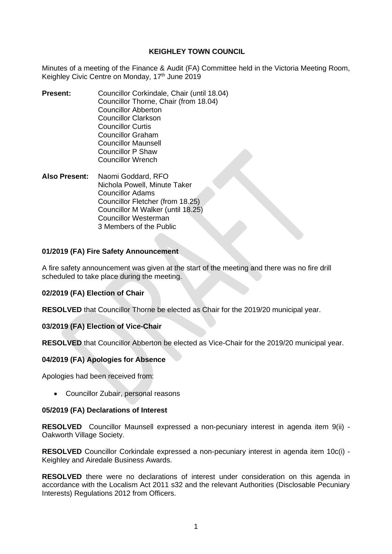# **KEIGHLEY TOWN COUNCIL**

Minutes of a meeting of the Finance & Audit (FA) Committee held in the Victoria Meeting Room, Keighley Civic Centre on Monday, 17<sup>th</sup> June 2019

- **Present:** Councillor Corkindale, Chair (until 18.04) Councillor Thorne, Chair (from 18.04) Councillor Abberton Councillor Clarkson Councillor Curtis Councillor Graham Councillor Maunsell Councillor P Shaw Councillor Wrench
- **Also Present:** Naomi Goddard, RFO Nichola Powell, Minute Taker Councillor Adams Councillor Fletcher (from 18.25) Councillor M Walker (until 18.25) Councillor Westerman 3 Members of the Public

# **01/2019 (FA) Fire Safety Announcement**

A fire safety announcement was given at the start of the meeting and there was no fire drill scheduled to take place during the meeting.

# **02/2019 (FA) Election of Chair**

**RESOLVED** that Councillor Thorne be elected as Chair for the 2019/20 municipal year.

# **03/2019 (FA) Election of Vice-Chair**

**RESOLVED** that Councillor Abberton be elected as Vice-Chair for the 2019/20 municipal year.

# **04/2019 (FA) Apologies for Absence**

Apologies had been received from:

• Councillor Zubair, personal reasons

#### **05/2019 (FA) Declarations of Interest**

**RESOLVED** Councillor Maunsell expressed a non-pecuniary interest in agenda item 9(ii) - Oakworth Village Society.

**RESOLVED** Councillor Corkindale expressed a non-pecuniary interest in agenda item 10c(i) - Keighley and Airedale Business Awards.

**RESOLVED** there were no declarations of interest under consideration on this agenda in accordance with the Localism Act 2011 s32 and the relevant Authorities (Disclosable Pecuniary Interests) Regulations 2012 from Officers.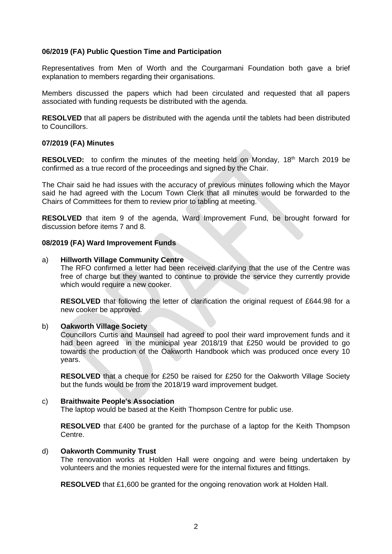## **06/2019 (FA) Public Question Time and Participation**

Representatives from Men of Worth and the Courgarmani Foundation both gave a brief explanation to members regarding their organisations.

Members discussed the papers which had been circulated and requested that all papers associated with funding requests be distributed with the agenda.

**RESOLVED** that all papers be distributed with the agenda until the tablets had been distributed to Councillors.

#### **07/2019 (FA) Minutes**

**RESOLVED:** to confirm the minutes of the meeting held on Monday, 18<sup>th</sup> March 2019 be confirmed as a true record of the proceedings and signed by the Chair.

The Chair said he had issues with the accuracy of previous minutes following which the Mayor said he had agreed with the Locum Town Clerk that all minutes would be forwarded to the Chairs of Committees for them to review prior to tabling at meeting.

**RESOLVED** that item 9 of the agenda, Ward Improvement Fund, be brought forward for discussion before items 7 and 8.

#### **08/2019 (FA) Ward Improvement Funds**

#### a) **Hillworth Village Community Centre**

The RFO confirmed a letter had been received clarifying that the use of the Centre was free of charge but they wanted to continue to provide the service they currently provide which would require a new cooker.

**RESOLVED** that following the letter of clarification the original request of £644.98 for a new cooker be approved.

#### b) **Oakworth Village Society**

Councillors Curtis and Maunsell had agreed to pool their ward improvement funds and it had been agreed in the municipal year 2018/19 that £250 would be provided to go towards the production of the Oakworth Handbook which was produced once every 10 years.

**RESOLVED** that a cheque for £250 be raised for £250 for the Oakworth Village Society but the funds would be from the 2018/19 ward improvement budget.

#### c) **Braithwaite People's Association**

The laptop would be based at the Keith Thompson Centre for public use.

**RESOLVED** that £400 be granted for the purchase of a laptop for the Keith Thompson Centre.

#### d) **Oakworth Community Trust**

The renovation works at Holden Hall were ongoing and were being undertaken by volunteers and the monies requested were for the internal fixtures and fittings.

**RESOLVED** that £1,600 be granted for the ongoing renovation work at Holden Hall.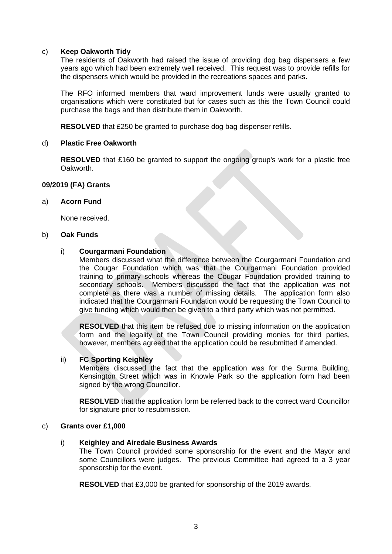## c) **Keep Oakworth Tidy**

The residents of Oakworth had raised the issue of providing dog bag dispensers a few years ago which had been extremely well received. This request was to provide refills for the dispensers which would be provided in the recreations spaces and parks.

The RFO informed members that ward improvement funds were usually granted to organisations which were constituted but for cases such as this the Town Council could purchase the bags and then distribute them in Oakworth.

**RESOLVED** that £250 be granted to purchase dog bag dispenser refills.

## d) **Plastic Free Oakworth**

**RESOLVED** that £160 be granted to support the ongoing group's work for a plastic free Oakworth.

## **09/2019 (FA) Grants**

## a) **Acorn Fund**

None received.

#### b) **Oak Funds**

## i) **Courgarmani Foundation**

Members discussed what the difference between the Courgarmani Foundation and the Cougar Foundation which was that the Courgarmani Foundation provided training to primary schools whereas the Cougar Foundation provided training to secondary schools. Members discussed the fact that the application was not complete as there was a number of missing details. The application form also indicated that the Courgarmani Foundation would be requesting the Town Council to give funding which would then be given to a third party which was not permitted.

**RESOLVED** that this item be refused due to missing information on the application form and the legality of the Town Council providing monies for third parties, however, members agreed that the application could be resubmitted if amended.

#### ii) **FC Sporting Keighley**

Members discussed the fact that the application was for the Surma Building, Kensington Street which was in Knowle Park so the application form had been signed by the wrong Councillor.

**RESOLVED** that the application form be referred back to the correct ward Councillor for signature prior to resubmission.

#### c) **Grants over £1,000**

#### i) **Keighley and Airedale Business Awards**

The Town Council provided some sponsorship for the event and the Mayor and some Councillors were judges. The previous Committee had agreed to a 3 year sponsorship for the event.

**RESOLVED** that £3,000 be granted for sponsorship of the 2019 awards.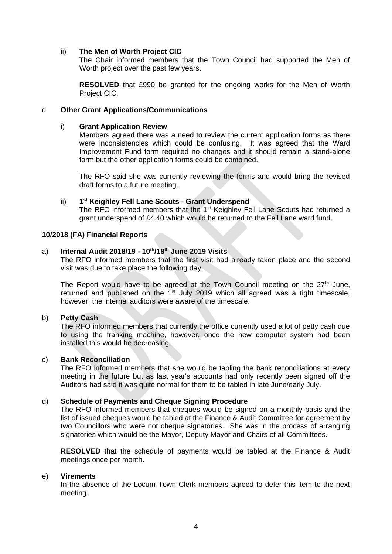## ii) **The Men of Worth Project CIC**

The Chair informed members that the Town Council had supported the Men of Worth project over the past few years.

**RESOLVED** that £990 be granted for the ongoing works for the Men of Worth Project CIC.

## d **Other Grant Applications/Communications**

## i) **Grant Application Review**

Members agreed there was a need to review the current application forms as there were inconsistencies which could be confusing. It was agreed that the Ward Improvement Fund form required no changes and it should remain a stand-alone form but the other application forms could be combined.

The RFO said she was currently reviewing the forms and would bring the revised draft forms to a future meeting.

#### ii) **1 st Keighley Fell Lane Scouts - Grant Underspend**

The RFO informed members that the 1<sup>st</sup> Keighley Fell Lane Scouts had returned a grant underspend of £4.40 which would be returned to the Fell Lane ward fund.

#### **10/2018 (FA) Financial Reports**

#### a) **Internal Audit 2018/19 - 10th/18th June 2019 Visits**

The RFO informed members that the first visit had already taken place and the second visit was due to take place the following day.

The Report would have to be agreed at the Town Council meeting on the  $27<sup>th</sup>$  June, returned and published on the  $1<sup>st</sup>$  July 2019 which all agreed was a tight timescale, however, the internal auditors were aware of the timescale.

## b) **Petty Cash**

The RFO informed members that currently the office currently used a lot of petty cash due to using the franking machine, however, once the new computer system had been installed this would be decreasing.

### c) **Bank Reconciliation**

The RFO informed members that she would be tabling the bank reconciliations at every meeting in the future but as last year's accounts had only recently been signed off the Auditors had said it was quite normal for them to be tabled in late June/early July.

# d) **Schedule of Payments and Cheque Signing Procedure**

The RFO informed members that cheques would be signed on a monthly basis and the list of issued cheques would be tabled at the Finance & Audit Committee for agreement by two Councillors who were not cheque signatories. She was in the process of arranging signatories which would be the Mayor, Deputy Mayor and Chairs of all Committees.

**RESOLVED** that the schedule of payments would be tabled at the Finance & Audit meetings once per month.

#### e) **Virements**

In the absence of the Locum Town Clerk members agreed to defer this item to the next meeting.